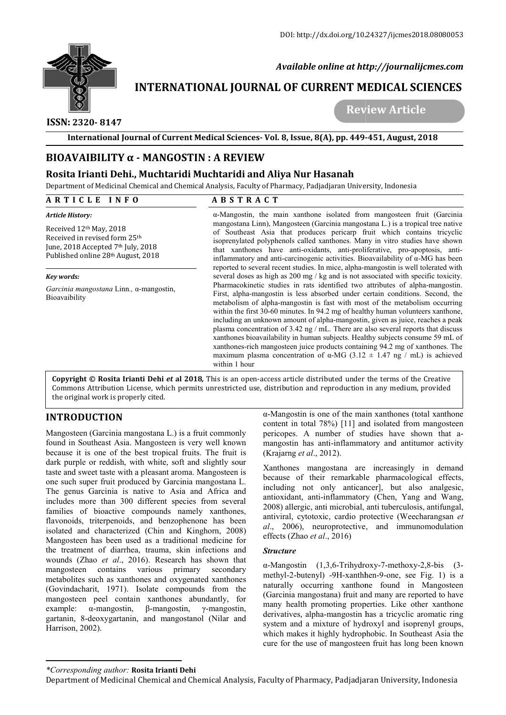

 *Available online at http://journalijcmes.com*

# **INTERNATIONAL JOURNAL OF CURRENT MEDICAL SCIENCES SCIENCES**

# **ISSN: 2320- 8147**

 **Review Article**

**International Journal of Current Medical Sciences Sciences- Vol. 8, Issue, 8(A), pp. 449-**

# **BIOAVAIBILITY α - MANGOSTIN : A REVIEW**

### **Rosita Irianti Dehi., Muchtaridi Muchtaridi and Aliya Nur Hasanah**

| $BIOAVAIBILITY \alpha - MANGOSTIN : A REVIEW$                                                                                                                                                                                                                                                                                                                                                                                                                                                                                                                                                                                                                                                                                                                                                                                                                                                                                                                                                                                                                                                                                                                                                                                                                   |                                                                                                                                                                                                                                                                                                                                                                                                                                                                                                                                                                                                                                                                                                                                                                                                                                                                                                                                                                                                                                                                                                                                                                                                                                                                                                                                                                                                                                                                    |                                                                                                                                                                                                                                                                                                                                                                                                                                                                                                                                                                                                                                                                     |
|-----------------------------------------------------------------------------------------------------------------------------------------------------------------------------------------------------------------------------------------------------------------------------------------------------------------------------------------------------------------------------------------------------------------------------------------------------------------------------------------------------------------------------------------------------------------------------------------------------------------------------------------------------------------------------------------------------------------------------------------------------------------------------------------------------------------------------------------------------------------------------------------------------------------------------------------------------------------------------------------------------------------------------------------------------------------------------------------------------------------------------------------------------------------------------------------------------------------------------------------------------------------|--------------------------------------------------------------------------------------------------------------------------------------------------------------------------------------------------------------------------------------------------------------------------------------------------------------------------------------------------------------------------------------------------------------------------------------------------------------------------------------------------------------------------------------------------------------------------------------------------------------------------------------------------------------------------------------------------------------------------------------------------------------------------------------------------------------------------------------------------------------------------------------------------------------------------------------------------------------------------------------------------------------------------------------------------------------------------------------------------------------------------------------------------------------------------------------------------------------------------------------------------------------------------------------------------------------------------------------------------------------------------------------------------------------------------------------------------------------------|---------------------------------------------------------------------------------------------------------------------------------------------------------------------------------------------------------------------------------------------------------------------------------------------------------------------------------------------------------------------------------------------------------------------------------------------------------------------------------------------------------------------------------------------------------------------------------------------------------------------------------------------------------------------|
| Rosita Irianti Dehi., Muchtaridi Muchtaridi and Aliya Nur Hasanah                                                                                                                                                                                                                                                                                                                                                                                                                                                                                                                                                                                                                                                                                                                                                                                                                                                                                                                                                                                                                                                                                                                                                                                               |                                                                                                                                                                                                                                                                                                                                                                                                                                                                                                                                                                                                                                                                                                                                                                                                                                                                                                                                                                                                                                                                                                                                                                                                                                                                                                                                                                                                                                                                    |                                                                                                                                                                                                                                                                                                                                                                                                                                                                                                                                                                                                                                                                     |
|                                                                                                                                                                                                                                                                                                                                                                                                                                                                                                                                                                                                                                                                                                                                                                                                                                                                                                                                                                                                                                                                                                                                                                                                                                                                 |                                                                                                                                                                                                                                                                                                                                                                                                                                                                                                                                                                                                                                                                                                                                                                                                                                                                                                                                                                                                                                                                                                                                                                                                                                                                                                                                                                                                                                                                    | Department of Medicinal Chemical and Chemical Analysis, Faculty of Pharmacy, Padjadjaran University, Indonesia                                                                                                                                                                                                                                                                                                                                                                                                                                                                                                                                                      |
| ARTICLE INFO                                                                                                                                                                                                                                                                                                                                                                                                                                                                                                                                                                                                                                                                                                                                                                                                                                                                                                                                                                                                                                                                                                                                                                                                                                                    | <b>ABSTRACT</b>                                                                                                                                                                                                                                                                                                                                                                                                                                                                                                                                                                                                                                                                                                                                                                                                                                                                                                                                                                                                                                                                                                                                                                                                                                                                                                                                                                                                                                                    |                                                                                                                                                                                                                                                                                                                                                                                                                                                                                                                                                                                                                                                                     |
| Article History:<br>Received 12th May, 2018<br>Received in revised form 25th<br>June, 2018 Accepted 7th July, 2018<br>Published online 28th August, 2018                                                                                                                                                                                                                                                                                                                                                                                                                                                                                                                                                                                                                                                                                                                                                                                                                                                                                                                                                                                                                                                                                                        | a-Mangostin, the main xanthone isolated from mangosteen fruit (Garcinia<br>mangostana Linn), Mangosteen (Garcinia mangostana L.) is a tropical tree native<br>of Southeast Asia that produces pericarp fruit which contains tricyclic<br>isoprenylated polyphenols called xanthones. Many in vitro studies have shown<br>that xanthones have anti-oxidants, anti-proliferative, pro-apoptosis, anti-<br>inflammatory and anti-carcinogenic activities. Bioavailability of $\alpha$ -MG has been<br>reported to several recent studies. In mice, alpha-mangostin is well tolerated with<br>several doses as high as 200 mg / kg and is not associated with specific toxicity.<br>Pharmacokinetic studies in rats identified two attributes of alpha-mangostin.<br>First, alpha-mangostin is less absorbed under certain conditions. Second, the<br>metabolism of alpha-mangostin is fast with most of the metabolism occurring<br>within the first 30-60 minutes. In 94.2 mg of healthy human volunteers xanthone,<br>including an unknown amount of alpha-mangostin, given as juice, reaches a peak<br>plasma concentration of 3.42 ng / mL. There are also several reports that discuss<br>xanthones bioavailability in human subjects. Healthy subjects consume 59 mL of<br>xanthones-rich mangosteen juice products containing 94.2 mg of xanthones. The<br>maximum plasma concentration of $\alpha$ -MG (3.12 $\pm$ 1.47 ng / mL) is achieved<br>within 1 hour |                                                                                                                                                                                                                                                                                                                                                                                                                                                                                                                                                                                                                                                                     |
| Key words:<br>Garcinia mangostana Linn., a-mangostin,<br>Bioavaibility                                                                                                                                                                                                                                                                                                                                                                                                                                                                                                                                                                                                                                                                                                                                                                                                                                                                                                                                                                                                                                                                                                                                                                                          |                                                                                                                                                                                                                                                                                                                                                                                                                                                                                                                                                                                                                                                                                                                                                                                                                                                                                                                                                                                                                                                                                                                                                                                                                                                                                                                                                                                                                                                                    |                                                                                                                                                                                                                                                                                                                                                                                                                                                                                                                                                                                                                                                                     |
| the original work is properly cited.                                                                                                                                                                                                                                                                                                                                                                                                                                                                                                                                                                                                                                                                                                                                                                                                                                                                                                                                                                                                                                                                                                                                                                                                                            |                                                                                                                                                                                                                                                                                                                                                                                                                                                                                                                                                                                                                                                                                                                                                                                                                                                                                                                                                                                                                                                                                                                                                                                                                                                                                                                                                                                                                                                                    | Copyright © Rosita Irianti Dehi et al 2018, This is an open-access article distributed under the terms of the Creative<br>Commons Attribution License, which permits unrestricted use, distribution and reproduction in any medium, provided<br>$\alpha$ -Mangostin is one of the main xanthones (total xanthone                                                                                                                                                                                                                                                                                                                                                    |
| <b>INTRODUCTION</b><br>Mangosteen (Garcinia mangostana L.) is a fruit commonly<br>found in Southeast Asia. Mangosteen is very well known<br>because it is one of the best tropical fruits. The fruit is<br>dark purple or reddish, with white, soft and slightly sour<br>taste and sweet taste with a pleasant aroma. Mangosteen is<br>one such super fruit produced by Garcinia mangostana L.<br>The genus Garcinia is native to Asia and Africa and<br>includes more than 300 different species from several<br>families of bioactive compounds namely xanthones,<br>flavonoids, triterpenoids, and benzophenone has been<br>isolated and characterized (Chin and Kinghorn, 2008)<br>Mangosteen has been used as a traditional medicine for<br>the treatment of diarrhea, trauma, skin infections and<br>wounds (Zhao et al., 2016). Research has shown that<br>various<br>mangosteen<br>contains<br>primary<br>secondary<br>metabolites such as xanthones and oxygenated xanthones<br>(Govindacharit, 1971). Isolate compounds from the<br>mangosteen peel contain xanthones abundantly, for<br>$\beta$ -mangostin,<br>example:<br>$\alpha$ -mangostin,<br>$\gamma$ -mangostin,<br>gartanin, 8-deoxygartanin, and mangostanol (Nilar and<br>Harrison, 2002). |                                                                                                                                                                                                                                                                                                                                                                                                                                                                                                                                                                                                                                                                                                                                                                                                                                                                                                                                                                                                                                                                                                                                                                                                                                                                                                                                                                                                                                                                    | content in total 78%) [11] and isolated from mangosteen<br>pericopes. A number of studies have shown that a-<br>mangostin has anti-inflammatory and antitumor activity<br>(Krajarng et al., 2012).<br>Xanthones mangostana are increasingly in demand<br>because of their remarkable pharmacological effects,<br>including not only anticancer], but also analgesic,<br>antioxidant, anti-inflammatory (Chen, Yang and Wang,<br>2008) allergic, anti microbial, anti tuberculosis, antifungal,<br>antiviral, cytotoxic, cardio protective (Weecharangsan et<br>al., 2006), neuroprotective, and immunomodulation<br>effects (Zhao et al., 2016)<br><b>Structure</b> |
|                                                                                                                                                                                                                                                                                                                                                                                                                                                                                                                                                                                                                                                                                                                                                                                                                                                                                                                                                                                                                                                                                                                                                                                                                                                                 |                                                                                                                                                                                                                                                                                                                                                                                                                                                                                                                                                                                                                                                                                                                                                                                                                                                                                                                                                                                                                                                                                                                                                                                                                                                                                                                                                                                                                                                                    |                                                                                                                                                                                                                                                                                                                                                                                                                                                                                                                                                                                                                                                                     |

# **INTRODUCTION**

#### *Structure*

#### *\*Corresponding author:* **Rosita Irianti Dehi**

Department of Medicinal Chemical and Chemical Analysis, Faculty of Pharmacy, Padjadjaran University, Indonesia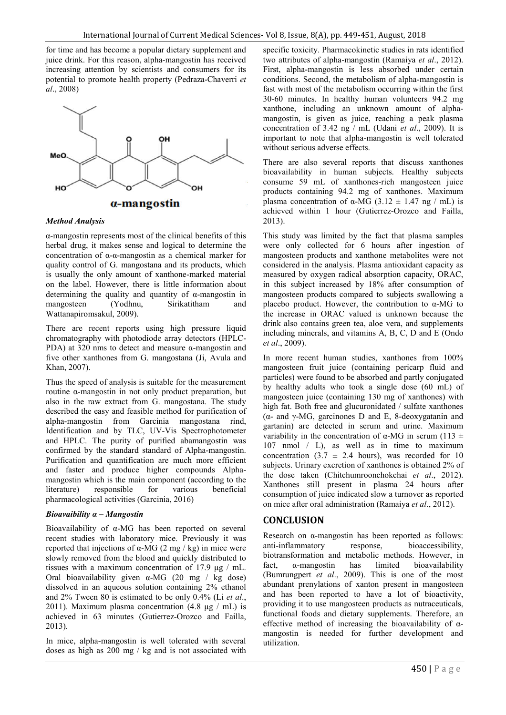for time and has become a popular dietary supplement and juice drink. For this reason, alpha-mangostin has received increasing attention by scientists and consumers for its potential to promote health property (Pedraza-Chaverri *et al*., 2008)



#### *Method Analysis*

α-mangostin represents most of the clinical benefits of this herbal drug, it makes sense and logical to determine the concentration of α-α-mangostin as a chemical marker for quality control of G. mangostana and its products, which is usually the only amount of xanthone-marked material on the label. However, there is little information about determining the quality and quantity of  $\alpha$ -mangostin in mangosteen (Yodhnu, Sirikatitham and Wattanapiromsakul, 2009).

There are recent reports using high pressure liquid chromatography with photodiode array detectors (HPLC-PDA) at 320 nms to detect and measure α-mangostin and five other xanthones from G. mangostana (Ji, Avula and Khan, 2007).

Thus the speed of analysis is suitable for the measurement routine α-mangostin in not only product preparation, but also in the raw extract from G. mangostana. The study described the easy and feasible method for purification of alpha-mangostin from Garcinia mangostana rind, Identification and by TLC, UV-Vis Spectrophotometer and HPLC. The purity of purified abamangostin was confirmed by the standard standard of Alpha-mangostin. Purification and quantification are much more efficient and faster and produce higher compounds Alphamangostin which is the main component (according to the literature) responsible for various beneficial literature) responsible pharmacological activities (Garcinia, 2016)

#### *Bioavaibility α – Mangostin*

Bioavailability of α-MG has been reported on several recent studies with laboratory mice. Previously it was reported that injections of α-MG (2 mg / kg) in mice were slowly removed from the blood and quickly distributed to tissues with a maximum concentration of 17.9 μg / mL. Oral bioavailability given  $\alpha$ -MG (20 mg / kg dose) dissolved in an aqueous solution containing 2% ethanol and 2% Tween 80 is estimated to be only 0.4% (Li *et al*., 2011). Maximum plasma concentration  $(4.8 \mu g / mL)$  is achieved in 63 minutes (Gutierrez-Orozco and Failla, 2013).

In mice, alpha-mangostin is well tolerated with several doses as high as 200 mg / kg and is not associated with specific toxicity. Pharmacokinetic studies in rats identified two attributes of alpha-mangostin (Ramaiya *et al*., 2012). First, alpha-mangostin is less absorbed under certain conditions. Second, the metabolism of alpha-mangostin is fast with most of the metabolism occurring within the first 30-60 minutes. In healthy human volunteers 94.2 mg xanthone, including an unknown amount of alphamangostin, is given as juice, reaching a peak plasma concentration of 3.42 ng / mL (Udani *et al*., 2009). It is important to note that alpha-mangostin is well tolerated without serious adverse effects.

There are also several reports that discuss xanthones bioavailability in human subjects. Healthy subjects consume 59 mL of xanthones-rich mangosteen juice products containing 94.2 mg of xanthones. Maximum plasma concentration of α-MG (3.12  $\pm$  1.47 ng / mL) is achieved within 1 hour (Gutierrez-Orozco and Failla, 2013).

This study was limited by the fact that plasma samples were only collected for 6 hours after ingestion of mangosteen products and xanthone metabolites were not considered in the analysis. Plasma antioxidant capacity as measured by oxygen radical absorption capacity, ORAC, in this subject increased by 18% after consumption of mangosteen products compared to subjects swallowing a placebo product. However, the contribution to α-MG to the increase in ORAC valued is unknown because the drink also contains green tea, aloe vera, and supplements including minerals, and vitamins A, B, C, D and E (Ondo *et al*., 2009).

In more recent human studies, xanthones from 100% mangosteen fruit juice (containing pericarp fluid and particles) were found to be absorbed and partly conjugated by healthy adults who took a single dose (60 mL) of mangosteen juice (containing 130 mg of xanthones) with high fat. Both free and glucuronidated / sulfate xanthones (α- and γ-MG, garcinones D and E, 8-deoxygatanin and gartanin) are detected in serum and urine. Maximum variability in the concentration of  $\alpha$ -MG in serum (113  $\pm$ ) 107 nmol / L), as well as in time to maximum concentration (3.7  $\pm$  2.4 hours), was recorded for 10 subjects. Urinary excretion of xanthones is obtained 2% of the dose taken (Chitchumroonchokchai *et al*., 2012). Xanthones still present in plasma 24 hours after consumption of juice indicated slow a turnover as reported on mice after oral administration (Ramaiya *et al*., 2012).

### **CONCLUSION**

Research on  $\alpha$ -mangostin has been reported as follows: anti-inflammatory response, bioaccessibility, biotransformation and metabolic methods. However, in fact, α-mangostin has limited bioavailability (Bumrungpert *et al*., 2009). This is one of the most abundant prenylations of xanton present in mangosteen and has been reported to have a lot of bioactivity, providing it to use mangosteen products as nutraceuticals, functional foods and dietary supplements. Therefore, an effective method of increasing the bioavailability of  $\alpha$ mangostin is needed for further development and utilization.